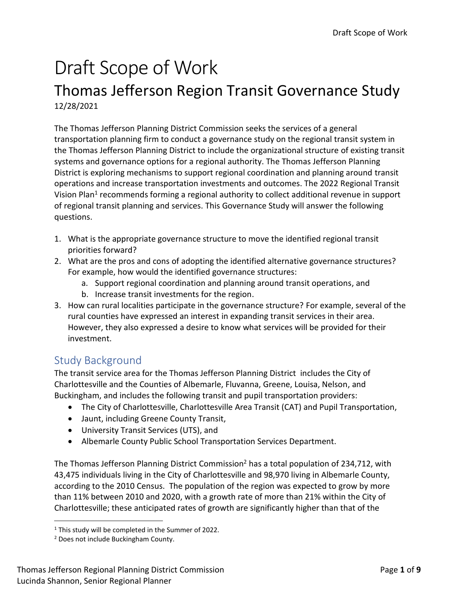# Draft Scope of Work

# Thomas Jefferson Region Transit Governance Study 12/28/2021

The Thomas Jefferson Planning District Commission seeks the services of a general transportation planning firm to conduct a governance study on the regional transit system in the Thomas Jefferson Planning District to include the organizational structure of existing transit systems and governance options for a regional authority. The Thomas Jefferson Planning District is exploring mechanisms to support regional coordination and planning around transit operations and increase transportation investments and outcomes. The 2022 Regional Transit Vision Plan<sup>1</sup> recommends forming a regional authority to collect additional revenue in support of regional transit planning and services. This Governance Study will answer the following questions.

- 1. What is the appropriate governance structure to move the identified regional transit priorities forward?
- 2. What are the pros and cons of adopting the identified alternative governance structures? For example, how would the identified governance structures:
	- a. Support regional coordination and planning around transit operations, and
	- b. Increase transit investments for the region.
- 3. How can rural localities participate in the governance structure? For example, several of the rural counties have expressed an interest in expanding transit services in their area. However, they also expressed a desire to know what services will be provided for their investment.

# Study Background

The transit service area for the Thomas Jefferson Planning District includes the City of Charlottesville and the Counties of Albemarle, Fluvanna, Greene, Louisa, Nelson, and Buckingham, and includes the following transit and pupil transportation providers:

- The City of Charlottesville, Charlottesville Area Transit (CAT) and Pupil Transportation,
- Jaunt, including Greene County Transit,
- University Transit Services (UTS), and
- Albemarle County Public School Transportation Services Department.

The Thomas Jefferson Planning District Commission<sup>2</sup> has a total population of 234,712, with 43,475 individuals living in the City of Charlottesville and 98,970 living in Albemarle County, according to the 2010 Census. The population of the region was expected to grow by more than 11% between 2010 and 2020, with a growth rate of more than 21% within the City of Charlottesville; these anticipated rates of growth are significantly higher than that of the

<sup>&</sup>lt;sup>1</sup> This study will be completed in the Summer of 2022.

<sup>2</sup> Does not include Buckingham County.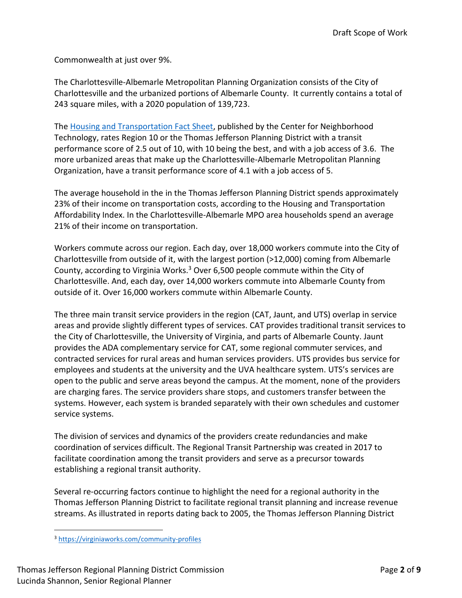Commonwealth at just over 9%.

The Charlottesville-Albemarle Metropolitan Planning Organization consists of the City of Charlottesville and the urbanized portions of Albemarle County. It currently contains a total of 243 square miles, with a 2020 population of 139,723.

The [Housing and Transportation Fact Sheet,](https://htaindex.cnt.org/fact-sheets/?lat=38.0293059&lng=-78.47667810000002&focus=place&gid=26730) published by the Center for Neighborhood Technology, rates Region 10 or the Thomas Jefferson Planning District with a transit performance score of 2.5 out of 10, with 10 being the best, and with a job access of 3.6. The more urbanized areas that make up the Charlottesville-Albemarle Metropolitan Planning Organization, have a transit performance score of 4.1 with a job access of 5.

The average household in the in the Thomas Jefferson Planning District spends approximately 23% of their income on transportation costs, according to the Housing and Transportation Affordability Index. In the Charlottesville-Albemarle MPO area households spend an average 21% of their income on transportation.

Workers commute across our region. Each day, over 18,000 workers commute into the City of Charlottesville from outside of it, with the largest portion (>12,000) coming from Albemarle County, according to Virginia Works. $3$  Over 6,500 people commute within the City of Charlottesville. And, each day, over 14,000 workers commute into Albemarle County from outside of it. Over 16,000 workers commute within Albemarle County.

The three main transit service providers in the region (CAT, Jaunt, and UTS) overlap in service areas and provide slightly different types of services. CAT provides traditional transit services to the City of Charlottesville, the University of Virginia, and parts of Albemarle County. Jaunt provides the ADA complementary service for CAT, some regional commuter services, and contracted services for rural areas and human services providers. UTS provides bus service for employees and students at the university and the UVA healthcare system. UTS's services are open to the public and serve areas beyond the campus. At the moment, none of the providers are charging fares. The service providers share stops, and customers transfer between the systems. However, each system is branded separately with their own schedules and customer service systems.

The division of services and dynamics of the providers create redundancies and make coordination of services difficult. The Regional Transit Partnership was created in 2017 to facilitate coordination among the transit providers and serve as a precursor towards establishing a regional transit authority.

Several re-occurring factors continue to highlight the need for a regional authority in the Thomas Jefferson Planning District to facilitate regional transit planning and increase revenue streams. As illustrated in reports dating back to 2005, the Thomas Jefferson Planning District

<sup>3</sup> <https://virginiaworks.com/community-profiles>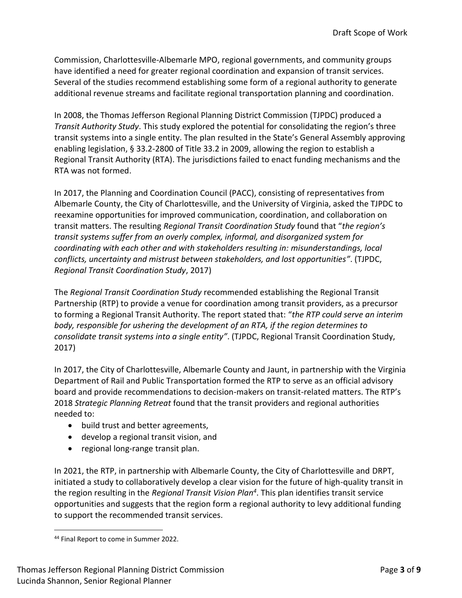Commission, Charlottesville-Albemarle MPO, regional governments, and community groups have identified a need for greater regional coordination and expansion of transit services. Several of the studies recommend establishing some form of a regional authority to generate additional revenue streams and facilitate regional transportation planning and coordination.

In 2008, the Thomas Jefferson Regional Planning District Commission (TJPDC) produced a *Transit Authority Study*. This study explored the potential for consolidating the region's three transit systems into a single entity. The plan resulted in the State's General Assembly approving enabling legislation, § 33.2-2800 of Title 33.2 in 2009, allowing the region to establish a Regional Transit Authority (RTA). The jurisdictions failed to enact funding mechanisms and the RTA was not formed.

In 2017, the Planning and Coordination Council (PACC), consisting of representatives from Albemarle County, the City of Charlottesville, and the University of Virginia, asked the TJPDC to reexamine opportunities for improved communication, coordination, and collaboration on transit matters. The resulting *Regional Transit Coordination Study* found that "*the region's transit systems suffer from an overly complex, informal, and disorganized system for coordinating with each other and with stakeholders resulting in: misunderstandings, local conflicts, uncertainty and mistrust between stakeholders, and lost opportunities"*. (TJPDC, *Regional Transit Coordination Study*, 2017)

The *Regional Transit Coordination Study* recommended establishing the Regional Transit Partnership (RTP) to provide a venue for coordination among transit providers, as a precursor to forming a Regional Transit Authority. The report stated that: "*the RTP could serve an interim body, responsible for ushering the development of an RTA, if the region determines to consolidate transit systems into a single entity"*. (TJPDC, Regional Transit Coordination Study, 2017)

In 2017, the City of Charlottesville, Albemarle County and Jaunt, in partnership with the Virginia Department of Rail and Public Transportation formed the RTP to serve as an official advisory board and provide recommendations to decision-makers on transit-related matters. The RTP's 2018 *Strategic Planning Retreat* found that the transit providers and regional authorities needed to:

- build trust and better agreements,
- develop a regional transit vision, and
- regional long-range transit plan.

In 2021, the RTP, in partnership with Albemarle County, the City of Charlottesville and DRPT, initiated a study to collaboratively develop a clear vision for the future of high-quality transit in the region resulting in the *Regional Transit Vision Plan<sup>4</sup>* . This plan identifies transit service opportunities and suggests that the region form a regional authority to levy additional funding to support the recommended transit services.

<sup>44</sup> Final Report to come in Summer 2022.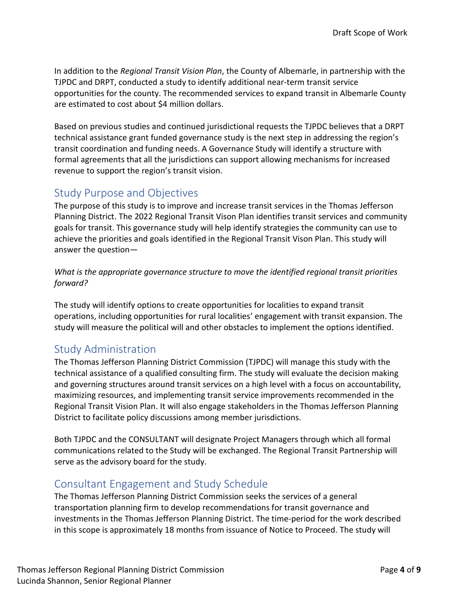In addition to the *Regional Transit Vision Plan*, the County of Albemarle, in partnership with the TJPDC and DRPT, conducted a study to identify additional near-term transit service opportunities for the county. The recommended services to expand transit in Albemarle County are estimated to cost about \$4 million dollars.

Based on previous studies and continued jurisdictional requests the TJPDC believes that a DRPT technical assistance grant funded governance study is the next step in addressing the region's transit coordination and funding needs. A Governance Study will identify a structure with formal agreements that all the jurisdictions can support allowing mechanisms for increased revenue to support the region's transit vision.

# Study Purpose and Objectives

The purpose of this study is to improve and increase transit services in the Thomas Jefferson Planning District. The 2022 Regional Transit Vison Plan identifies transit services and community goals for transit. This governance study will help identify strategies the community can use to achieve the priorities and goals identified in the Regional Transit Vison Plan. This study will answer the question—

*What is the appropriate governance structure to move the identified regional transit priorities forward?*

The study will identify options to create opportunities for localities to expand transit operations, including opportunities for rural localities' engagement with transit expansion. The study will measure the political will and other obstacles to implement the options identified.

# Study Administration

The Thomas Jefferson Planning District Commission (TJPDC) will manage this study with the technical assistance of a qualified consulting firm. The study will evaluate the decision making and governing structures around transit services on a high level with a focus on accountability, maximizing resources, and implementing transit service improvements recommended in the Regional Transit Vision Plan. It will also engage stakeholders in the Thomas Jefferson Planning District to facilitate policy discussions among member jurisdictions.

Both TJPDC and the CONSULTANT will designate Project Managers through which all formal communications related to the Study will be exchanged. The Regional Transit Partnership will serve as the advisory board for the study.

# Consultant Engagement and Study Schedule

The Thomas Jefferson Planning District Commission seeks the services of a general transportation planning firm to develop recommendations for transit governance and investments in the Thomas Jefferson Planning District. The time-period for the work described in this scope is approximately 18 months from issuance of Notice to Proceed. The study will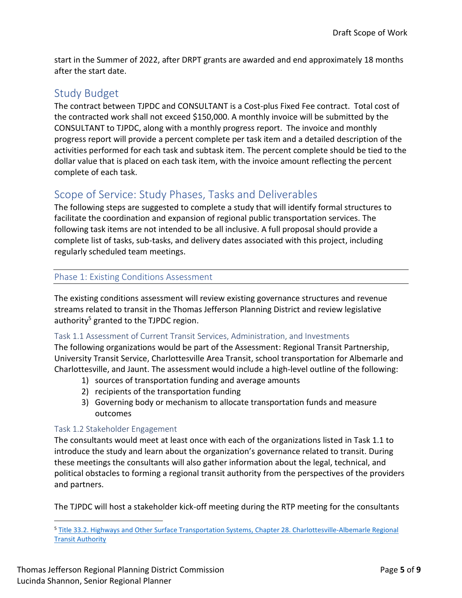start in the Summer of 2022, after DRPT grants are awarded and end approximately 18 months after the start date.

# Study Budget

The contract between TJPDC and CONSULTANT is a Cost-plus Fixed Fee contract. Total cost of the contracted work shall not exceed \$150,000. A monthly invoice will be submitted by the CONSULTANT to TJPDC, along with a monthly progress report. The invoice and monthly progress report will provide a percent complete per task item and a detailed description of the activities performed for each task and subtask item. The percent complete should be tied to the dollar value that is placed on each task item, with the invoice amount reflecting the percent complete of each task.

# Scope of Service: Study Phases, Tasks and Deliverables

The following steps are suggested to complete a study that will identify formal structures to facilitate the coordination and expansion of regional public transportation services. The following task items are not intended to be all inclusive. A full proposal should provide a complete list of tasks, sub-tasks, and delivery dates associated with this project, including regularly scheduled team meetings.

## Phase 1: Existing Conditions Assessment

The existing conditions assessment will review existing governance structures and revenue streams related to transit in the Thomas Jefferson Planning District and review legislative authority<sup>5</sup> granted to the TJPDC region.

## Task 1.1 Assessment of Current Transit Services, Administration, and Investments

The following organizations would be part of the Assessment: Regional Transit Partnership, University Transit Service, Charlottesville Area Transit, school transportation for Albemarle and Charlottesville, and Jaunt. The assessment would include a high-level outline of the following:

- 1) sources of transportation funding and average amounts
- 2) recipients of the transportation funding
- 3) Governing body or mechanism to allocate transportation funds and measure outcomes

## Task 1.2 Stakeholder Engagement

The consultants would meet at least once with each of the organizations listed in Task 1.1 to introduce the study and learn about the organization's governance related to transit. During these meetings the consultants will also gather information about the legal, technical, and political obstacles to forming a regional transit authority from the perspectives of the providers and partners.

The TJPDC will host a stakeholder kick-off meeting during the RTP meeting for the consultants

<sup>5</sup> [Title 33.2. Highways and Other Surface Transportation Systems, Chapter 28. Charlottesville-Albemarle Regional](https://law.lis.virginia.gov/vacode/title33.2/chapter28/)  **[Transit Authority](https://law.lis.virginia.gov/vacode/title33.2/chapter28/)**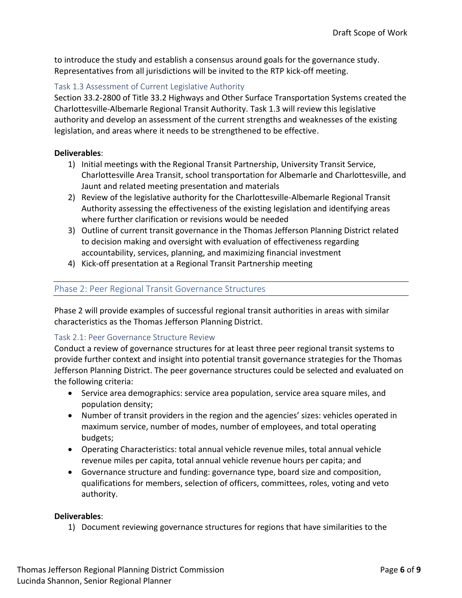to introduce the study and establish a consensus around goals for the governance study. Representatives from all jurisdictions will be invited to the RTP kick-off meeting.

#### Task 1.3 Assessment of Current Legislative Authority

Section 33.2-2800 of Title 33.2 Highways and Other Surface Transportation Systems created the Charlottesville-Albemarle Regional Transit Authority. Task 1.3 will review this legislative authority and develop an assessment of the current strengths and weaknesses of the existing legislation, and areas where it needs to be strengthened to be effective.

#### **Deliverables**:

- 1) Initial meetings with the Regional Transit Partnership, University Transit Service, Charlottesville Area Transit, school transportation for Albemarle and Charlottesville, and Jaunt and related meeting presentation and materials
- 2) Review of the legislative authority for the Charlottesville-Albemarle Regional Transit Authority assessing the effectiveness of the existing legislation and identifying areas where further clarification or revisions would be needed
- 3) Outline of current transit governance in the Thomas Jefferson Planning District related to decision making and oversight with evaluation of effectiveness regarding accountability, services, planning, and maximizing financial investment
- 4) Kick-off presentation at a Regional Transit Partnership meeting

## Phase 2: Peer Regional Transit Governance Structures

Phase 2 will provide examples of successful regional transit authorities in areas with similar characteristics as the Thomas Jefferson Planning District.

#### Task 2.1: Peer Governance Structure Review

Conduct a review of governance structures for at least three peer regional transit systems to provide further context and insight into potential transit governance strategies for the Thomas Jefferson Planning District. The peer governance structures could be selected and evaluated on the following criteria:

- Service area demographics: service area population, service area square miles, and population density;
- Number of transit providers in the region and the agencies' sizes: vehicles operated in maximum service, number of modes, number of employees, and total operating budgets;
- Operating Characteristics: total annual vehicle revenue miles, total annual vehicle revenue miles per capita, total annual vehicle revenue hours per capita; and
- Governance structure and funding: governance type, board size and composition, qualifications for members, selection of officers, committees, roles, voting and veto authority.

#### **Deliverables**:

1) Document reviewing governance structures for regions that have similarities to the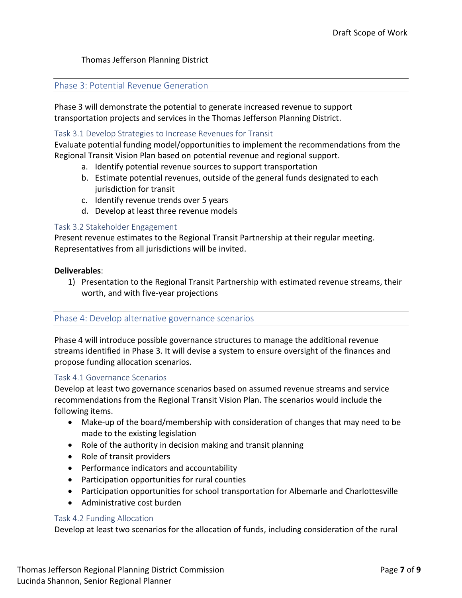#### Thomas Jefferson Planning District

#### Phase 3: Potential Revenue Generation

Phase 3 will demonstrate the potential to generate increased revenue to support transportation projects and services in the Thomas Jefferson Planning District.

#### Task 3.1 Develop Strategies to Increase Revenues for Transit

Evaluate potential funding model/opportunities to implement the recommendations from the Regional Transit Vision Plan based on potential revenue and regional support.

- a. Identify potential revenue sources to support transportation
- b. Estimate potential revenues, outside of the general funds designated to each jurisdiction for transit
- c. Identify revenue trends over 5 years
- d. Develop at least three revenue models

#### Task 3.2 Stakeholder Engagement

Present revenue estimates to the Regional Transit Partnership at their regular meeting. Representatives from all jurisdictions will be invited.

#### **Deliverables**:

1) Presentation to the Regional Transit Partnership with estimated revenue streams, their worth, and with five-year projections

#### Phase 4: Develop alternative governance scenarios

Phase 4 will introduce possible governance structures to manage the additional revenue streams identified in Phase 3. It will devise a system to ensure oversight of the finances and propose funding allocation scenarios.

#### Task 4.1 Governance Scenarios

Develop at least two governance scenarios based on assumed revenue streams and service recommendations from the Regional Transit Vision Plan. The scenarios would include the following items.

- Make-up of the board/membership with consideration of changes that may need to be made to the existing legislation
- Role of the authority in decision making and transit planning
- Role of transit providers
- Performance indicators and accountability
- Participation opportunities for rural counties
- Participation opportunities for school transportation for Albemarle and Charlottesville
- Administrative cost burden

#### Task 4.2 Funding Allocation

Develop at least two scenarios for the allocation of funds, including consideration of the rural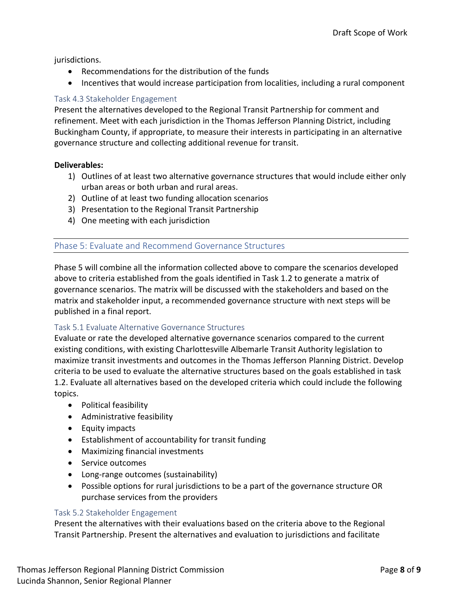jurisdictions.

- Recommendations for the distribution of the funds
- Incentives that would increase participation from localities, including a rural component

## Task 4.3 Stakeholder Engagement

Present the alternatives developed to the Regional Transit Partnership for comment and refinement. Meet with each jurisdiction in the Thomas Jefferson Planning District, including Buckingham County, if appropriate, to measure their interests in participating in an alternative governance structure and collecting additional revenue for transit.

## **Deliverables:**

- 1) Outlines of at least two alternative governance structures that would include either only urban areas or both urban and rural areas.
- 2) Outline of at least two funding allocation scenarios
- 3) Presentation to the Regional Transit Partnership
- 4) One meeting with each jurisdiction

## Phase 5: Evaluate and Recommend Governance Structures

Phase 5 will combine all the information collected above to compare the scenarios developed above to criteria established from the goals identified in Task 1.2 to generate a matrix of governance scenarios. The matrix will be discussed with the stakeholders and based on the matrix and stakeholder input, a recommended governance structure with next steps will be published in a final report.

#### Task 5.1 Evaluate Alternative Governance Structures

Evaluate or rate the developed alternative governance scenarios compared to the current existing conditions, with existing Charlottesville Albemarle Transit Authority legislation to maximize transit investments and outcomes in the Thomas Jefferson Planning District. Develop criteria to be used to evaluate the alternative structures based on the goals established in task 1.2. Evaluate all alternatives based on the developed criteria which could include the following topics.

- Political feasibility
- Administrative feasibility
- Equity impacts
- Establishment of accountability for transit funding
- Maximizing financial investments
- **Service outcomes**
- Long-range outcomes (sustainability)
- Possible options for rural jurisdictions to be a part of the governance structure OR purchase services from the providers

## Task 5.2 Stakeholder Engagement

Present the alternatives with their evaluations based on the criteria above to the Regional Transit Partnership. Present the alternatives and evaluation to jurisdictions and facilitate